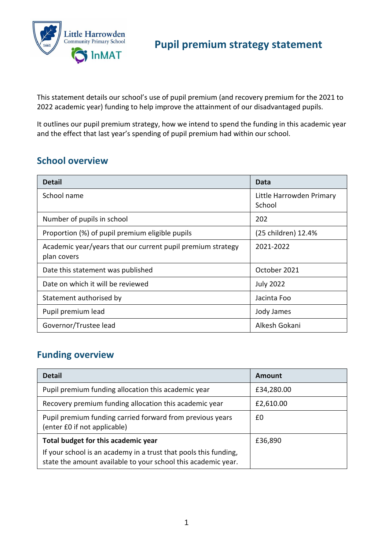

This statement details our school's use of pupil premium (and recovery premium for the 2021 to 2022 academic year) funding to help improve the attainment of our disadvantaged pupils.

It outlines our pupil premium strategy, how we intend to spend the funding in this academic year and the effect that last year's spending of pupil premium had within our school.

#### **School overview**

| <b>Detail</b>                                                              | Data                               |
|----------------------------------------------------------------------------|------------------------------------|
| School name                                                                | Little Harrowden Primary<br>School |
| Number of pupils in school                                                 | 202                                |
| Proportion (%) of pupil premium eligible pupils                            | (25 children) 12.4%                |
| Academic year/years that our current pupil premium strategy<br>plan covers | 2021-2022                          |
| Date this statement was published                                          | October 2021                       |
| Date on which it will be reviewed                                          | <b>July 2022</b>                   |
| Statement authorised by                                                    | Jacinta Foo                        |
| Pupil premium lead                                                         | Jody James                         |
| Governor/Trustee lead                                                      | Alkesh Gokani                      |

### **Funding overview**

| <b>Detail</b>                                                                                                                     | Amount     |  |
|-----------------------------------------------------------------------------------------------------------------------------------|------------|--|
| Pupil premium funding allocation this academic year                                                                               | £34,280.00 |  |
| Recovery premium funding allocation this academic year                                                                            | £2,610.00  |  |
| Pupil premium funding carried forward from previous years<br>(enter £0 if not applicable)                                         | £0         |  |
| Total budget for this academic year                                                                                               | £36,890    |  |
| If your school is an academy in a trust that pools this funding,<br>state the amount available to your school this academic year. |            |  |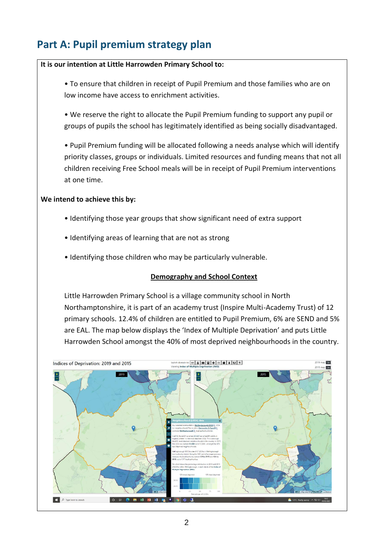# **Part A: Pupil premium strategy plan**

#### **It is our intention at Little Harrowden Primary School to:**

• To ensure that children in receipt of Pupil Premium and those families who are on low income have access to enrichment activities.

• We reserve the right to allocate the Pupil Premium funding to support any pupil or groups of pupils the school has legitimately identified as being socially disadvantaged.

• Pupil Premium funding will be allocated following a needs analyse which will identify priority classes, groups or individuals. Limited resources and funding means that not all children receiving Free School meals will be in receipt of Pupil Premium interventions at one time.

#### **We intend to achieve this by:**

- Identifying those year groups that show significant need of extra support
- Identifying areas of learning that are not as strong
- Identifying those children who may be particularly vulnerable.

#### **Demography and School Context**

Little Harrowden Primary School is a village community school in North Northamptonshire, it is part of an academy trust (Inspire Multi-Academy Trust) of 12 primary schools. 12.4% of children are entitled to Pupil Premium, 6% are SEND and 5% are EAL. The map below displays the 'Index of Multiple Deprivation' and puts Little Harrowden School amongst the 40% of most deprived neighbourhoods in the country.

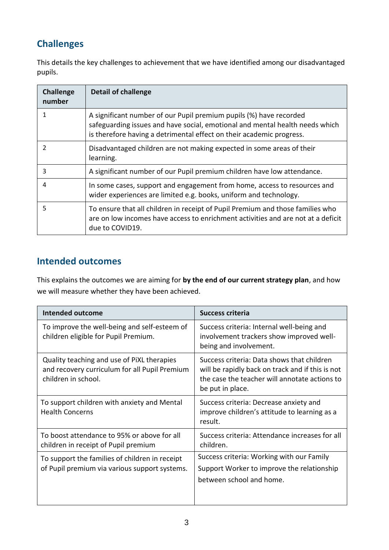## **Challenges**

This details the key challenges to achievement that we have identified among our disadvantaged pupils.

| <b>Challenge</b><br>number | <b>Detail of challenge</b>                                                                                                                                                                                                 |
|----------------------------|----------------------------------------------------------------------------------------------------------------------------------------------------------------------------------------------------------------------------|
|                            | A significant number of our Pupil premium pupils (%) have recorded<br>safeguarding issues and have social, emotional and mental health needs which<br>is therefore having a detrimental effect on their academic progress. |
| 2                          | Disadvantaged children are not making expected in some areas of their<br>learning.                                                                                                                                         |
| 3                          | A significant number of our Pupil premium children have low attendance.                                                                                                                                                    |
| 4                          | In some cases, support and engagement from home, access to resources and<br>wider experiences are limited e.g. books, uniform and technology.                                                                              |
| 5                          | To ensure that all children in receipt of Pupil Premium and those families who<br>are on low incomes have access to enrichment activities and are not at a deficit<br>due to COVID19.                                      |

### **Intended outcomes**

This explains the outcomes we are aiming for **by the end of our current strategy plan**, and how we will measure whether they have been achieved.

| <b>Intended outcome</b>                                                                                            | <b>Success criteria</b>                                                                                                                                             |
|--------------------------------------------------------------------------------------------------------------------|---------------------------------------------------------------------------------------------------------------------------------------------------------------------|
| To improve the well-being and self-esteem of<br>children eligible for Pupil Premium.                               | Success criteria: Internal well-being and<br>involvement trackers show improved well-<br>being and involvement.                                                     |
| Quality teaching and use of PiXL therapies<br>and recovery curriculum for all Pupil Premium<br>children in school. | Success criteria: Data shows that children<br>will be rapidly back on track and if this is not<br>the case the teacher will annotate actions to<br>be put in place. |
| To support children with anxiety and Mental<br><b>Health Concerns</b>                                              | Success criteria: Decrease anxiety and<br>improve children's attitude to learning as a<br>result.                                                                   |
| To boost attendance to 95% or above for all<br>children in receipt of Pupil premium                                | Success criteria: Attendance increases for all<br>children.                                                                                                         |
| To support the families of children in receipt<br>of Pupil premium via various support systems.                    | Success criteria: Working with our Family<br>Support Worker to improve the relationship<br>between school and home.                                                 |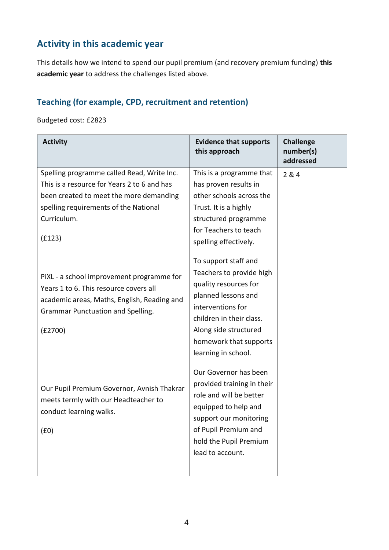## **Activity in this academic year**

This details how we intend to spend our pupil premium (and recovery premium funding) **this academic year** to address the challenges listed above.

#### **Teaching (for example, CPD, recruitment and retention)**

Budgeted cost: £2823

| <b>Activity</b>                             | <b>Evidence that supports</b><br>this approach | <b>Challenge</b><br>number(s)<br>addressed |
|---------------------------------------------|------------------------------------------------|--------------------------------------------|
| Spelling programme called Read, Write Inc.  | This is a programme that                       | 2 & 4                                      |
| This is a resource for Years 2 to 6 and has | has proven results in                          |                                            |
| been created to meet the more demanding     | other schools across the                       |                                            |
| spelling requirements of the National       | Trust. It is a highly                          |                                            |
| Curriculum.                                 | structured programme                           |                                            |
|                                             | for Teachers to teach                          |                                            |
| (f123)                                      | spelling effectively.                          |                                            |
|                                             | To support staff and                           |                                            |
| PiXL - a school improvement programme for   | Teachers to provide high                       |                                            |
| Years 1 to 6. This resource covers all      | quality resources for                          |                                            |
| academic areas, Maths, English, Reading and | planned lessons and                            |                                            |
| Grammar Punctuation and Spelling.           | interventions for                              |                                            |
|                                             | children in their class.                       |                                            |
| (E2700)                                     | Along side structured                          |                                            |
|                                             | homework that supports                         |                                            |
|                                             | learning in school.                            |                                            |
|                                             | Our Governor has been                          |                                            |
| Our Pupil Premium Governor, Avnish Thakrar  | provided training in their                     |                                            |
| meets termly with our Headteacher to        | role and will be better                        |                                            |
| conduct learning walks.                     | equipped to help and                           |                                            |
|                                             | support our monitoring                         |                                            |
| (f0)                                        | of Pupil Premium and                           |                                            |
|                                             | hold the Pupil Premium                         |                                            |
|                                             | lead to account.                               |                                            |
|                                             |                                                |                                            |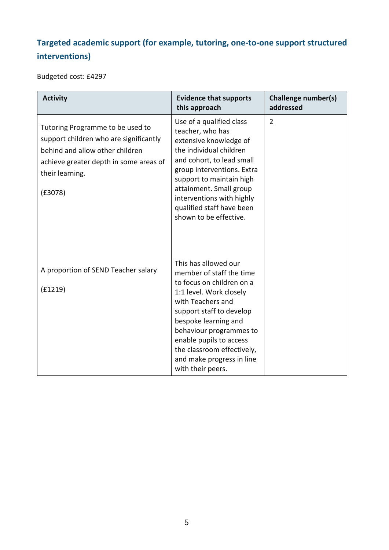## **Targeted academic support (for example, tutoring, one-to-one support structured interventions)**

Budgeted cost: £4297

| <b>Activity</b>                                                                                                                                                                       | <b>Evidence that supports</b><br>this approach                                                                                                                                                                                                                                                                          | <b>Challenge number(s)</b><br>addressed |
|---------------------------------------------------------------------------------------------------------------------------------------------------------------------------------------|-------------------------------------------------------------------------------------------------------------------------------------------------------------------------------------------------------------------------------------------------------------------------------------------------------------------------|-----------------------------------------|
| Tutoring Programme to be used to<br>support children who are significantly<br>behind and allow other children<br>achieve greater depth in some areas of<br>their learning.<br>(E3078) | Use of a qualified class<br>teacher, who has<br>extensive knowledge of<br>the individual children<br>and cohort, to lead small<br>group interventions. Extra<br>support to maintain high<br>attainment. Small group<br>interventions with highly<br>qualified staff have been<br>shown to be effective.                 | $\overline{2}$                          |
| A proportion of SEND Teacher salary<br>(f1219)                                                                                                                                        | This has allowed our<br>member of staff the time<br>to focus on children on a<br>1:1 level. Work closely<br>with Teachers and<br>support staff to develop<br>bespoke learning and<br>behaviour programmes to<br>enable pupils to access<br>the classroom effectively,<br>and make progress in line<br>with their peers. |                                         |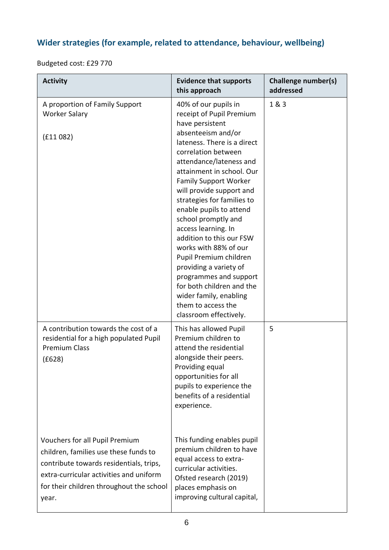## **Wider strategies (for example, related to attendance, behaviour, wellbeing)**

Budgeted cost: £29 770

| <b>Activity</b>                                                                                                                                                                                                    | <b>Evidence that supports</b><br>this approach                                                                                                                                                                                                                                                                                                                                                                                                                                                                                                                                                                       | <b>Challenge number(s)</b><br>addressed |
|--------------------------------------------------------------------------------------------------------------------------------------------------------------------------------------------------------------------|----------------------------------------------------------------------------------------------------------------------------------------------------------------------------------------------------------------------------------------------------------------------------------------------------------------------------------------------------------------------------------------------------------------------------------------------------------------------------------------------------------------------------------------------------------------------------------------------------------------------|-----------------------------------------|
| A proportion of Family Support<br><b>Worker Salary</b><br>(f11082)                                                                                                                                                 | 40% of our pupils in<br>receipt of Pupil Premium<br>have persistent<br>absenteeism and/or<br>lateness. There is a direct<br>correlation between<br>attendance/lateness and<br>attainment in school. Our<br><b>Family Support Worker</b><br>will provide support and<br>strategies for families to<br>enable pupils to attend<br>school promptly and<br>access learning. In<br>addition to this our FSW<br>works with 88% of our<br>Pupil Premium children<br>providing a variety of<br>programmes and support<br>for both children and the<br>wider family, enabling<br>them to access the<br>classroom effectively. | 1 & 3                                   |
| A contribution towards the cost of a<br>residential for a high populated Pupil<br><b>Premium Class</b><br>(£628)                                                                                                   | This has allowed Pupil<br>Premium children to<br>attend the residential<br>alongside their peers.<br>Providing equal<br>opportunities for all<br>pupils to experience the<br>benefits of a residential<br>experience.                                                                                                                                                                                                                                                                                                                                                                                                | 5                                       |
| Vouchers for all Pupil Premium<br>children, families use these funds to<br>contribute towards residentials, trips,<br>extra-curricular activities and uniform<br>for their children throughout the school<br>year. | This funding enables pupil<br>premium children to have<br>equal access to extra-<br>curricular activities.<br>Ofsted research (2019)<br>places emphasis on<br>improving cultural capital,                                                                                                                                                                                                                                                                                                                                                                                                                            |                                         |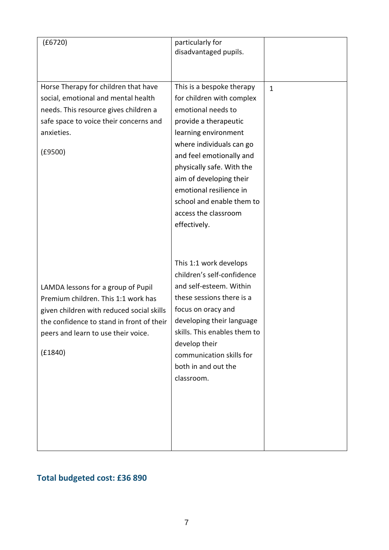| (£6720)                                                                                                                                                                                                               | particularly for<br>disadvantaged pupils.                                                                                                                                                                                                                                                                                                     |              |
|-----------------------------------------------------------------------------------------------------------------------------------------------------------------------------------------------------------------------|-----------------------------------------------------------------------------------------------------------------------------------------------------------------------------------------------------------------------------------------------------------------------------------------------------------------------------------------------|--------------|
| Horse Therapy for children that have<br>social, emotional and mental health<br>needs. This resource gives children a<br>safe space to voice their concerns and<br>anxieties.<br>(E9500)                               | This is a bespoke therapy<br>for children with complex<br>emotional needs to<br>provide a therapeutic<br>learning environment<br>where individuals can go<br>and feel emotionally and<br>physically safe. With the<br>aim of developing their<br>emotional resilience in<br>school and enable them to<br>access the classroom<br>effectively. | $\mathbf{1}$ |
| LAMDA lessons for a group of Pupil<br>Premium children. This 1:1 work has<br>given children with reduced social skills<br>the confidence to stand in front of their<br>peers and learn to use their voice.<br>(E1840) | This 1:1 work develops<br>children's self-confidence<br>and self-esteem. Within<br>these sessions there is a<br>focus on oracy and<br>developing their language<br>skills. This enables them to<br>develop their<br>communication skills for<br>both in and out the<br>classroom.                                                             |              |

# **Total budgeted cost: £36 890**